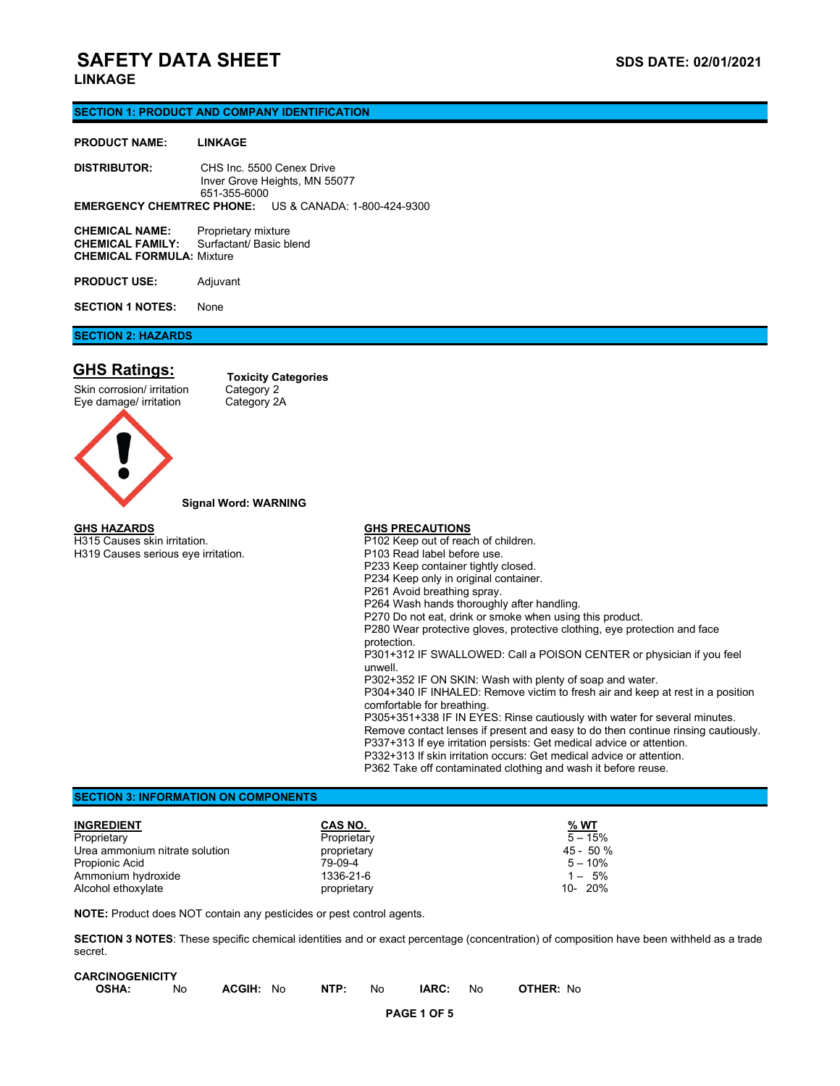# **SAFETY DATA SHEET SAFETY DATA SHEET**

## **LINKAGE**

### **SECTION 1: PRODUCT AND COMPANY IDENTIFICATION**

### **PRODUCT NAME: LINKAGE**

**DISTRIBUTOR:** CHS Inc. 5500 Cenex Drive Inver Grove Heights, MN 55077 651-355-6000 **EMERGENCY CHEMTREC PHONE:** US & CANADA: 1-800-424-9300

| <b>CHEMICAL NAME:</b>            | Proprietary mixture     |
|----------------------------------|-------------------------|
| <b>CHEMICAL FAMILY:</b>          | Surfactant/ Basic blend |
| <b>CHEMICAL FORMULA: Mixture</b> |                         |
|                                  |                         |

**PRODUCT USE:** Adjuvant

**SECTION 1 NOTES:** None

## **SECTION 2: HAZARDS**

## **GHS Ratings:**

### Skin corrosion/ irritation Category 2<br>
Eye damage/ irritation Category 2A Eye damage/ irritation

**Toxicity Categories**



## **Signal Word: WARNING**

### **GHS HAZARDS** H315 Causes skin irritation.

H319 Causes serious eye irritation.

## **GHS PRECAUTIONS**

P102 Keep out of reach of children. P103 Read label before use. P233 Keep container tightly closed. P234 Keep only in original container. P261 Avoid breathing spray. P264 Wash hands thoroughly after handling. P270 Do not eat, drink or smoke when using this product. P280 Wear protective gloves, protective clothing, eye protection and face protection. P301+312 IF SWALLOWED: Call a POISON CENTER or physician if you feel unwell. P302+352 IF ON SKIN: Wash with plenty of soap and water. P304+340 IF INHALED: Remove victim to fresh air and keep at rest in a position comfortable for breathing. P305+351+338 IF IN EYES: Rinse cautiously with water for several minutes. Remove contact lenses if present and easy to do then continue rinsing cautiously. P337+313 If eye irritation persists: Get medical advice or attention. P332+313 If skin irritation occurs: Get medical advice or attention. P362 Take off contaminated clothing and wash it before reuse.

## **SECTION 3: INFORMATION ON COMPONENTS**

| <b>INGREDIENT</b>              | CAS NO.     | % WT       |
|--------------------------------|-------------|------------|
| Proprietary                    | Proprietary | $5 - 15%$  |
| Urea ammonium nitrate solution | proprietary | $45 - 50%$ |
| Propionic Acid                 | 79-09-4     | $5 - 10\%$ |
| Ammonium hydroxide             | 1336-21-6   | $1 - 5\%$  |
| Alcohol ethoxylate             | proprietary | $10 - 20%$ |

**NOTE:** Product does NOT contain any pesticides or pest control agents.

**SECTION 3 NOTES**: These specific chemical identities and or exact percentage (concentration) of composition have been withheld as a trade secret.

| <b>CARCINOGENICITY</b> |     |           |      |     |       |     |                  |
|------------------------|-----|-----------|------|-----|-------|-----|------------------|
| <b>OSHA:</b>           | No. | ACGIH: No | NTP: | No. | IARC: | No. | <b>OTHER:</b> No |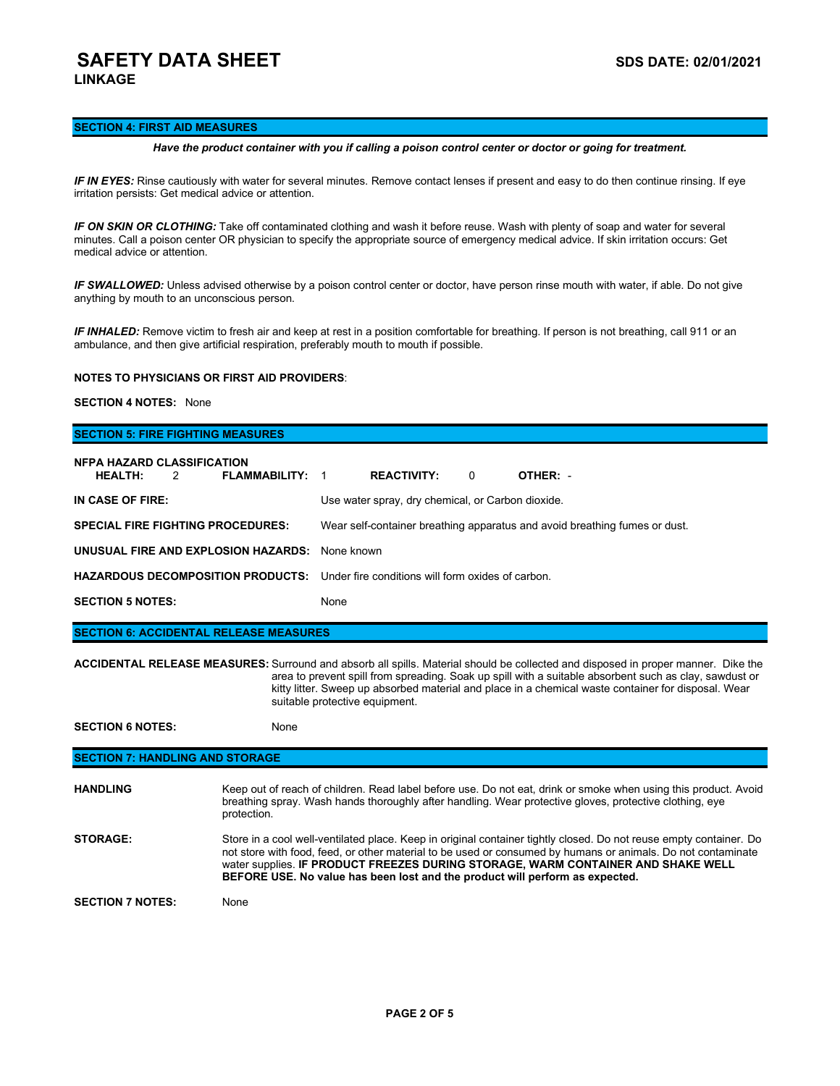## **SAFETY DATA SHEET SAFETY DATA SHEET LINKAGE**

## **SECTION 4: FIRST AID MEASURES**

### *Have the product container with you if calling a poison control center or doctor or going for treatment.*

*IF IN EYES:* Rinse cautiously with water for several minutes. Remove contact lenses if present and easy to do then continue rinsing. If eye irritation persists: Get medical advice or attention.

*IF ON SKIN OR CLOTHING:* Take off contaminated clothing and wash it before reuse. Wash with plenty of soap and water for several minutes. Call a poison center OR physician to specify the appropriate source of emergency medical advice. If skin irritation occurs: Get medical advice or attention.

*IF SWALLOWED:* Unless advised otherwise by a poison control center or doctor, have person rinse mouth with water, if able. Do not give anything by mouth to an unconscious person.

*IF INHALED:* Remove victim to fresh air and keep at rest in a position comfortable for breathing. If person is not breathing, call 911 or an ambulance, and then give artificial respiration, preferably mouth to mouth if possible.

## **NOTES TO PHYSICIANS OR FIRST AID PROVIDERS**:

### **SECTION 4 NOTES:** None

## **SECTION 5: FIRE FIGHTING MEASURES**

| <b>NFPA HAZARD CLASSIFICATION</b><br><b>HEALTH:</b><br><b>FLAMMABILITY: 1</b><br>$\overline{2}$ | <b>REACTIVITY:</b><br>$\Omega$<br>OTHER: -                                 |
|-------------------------------------------------------------------------------------------------|----------------------------------------------------------------------------|
| IN CASE OF FIRE:                                                                                | Use water spray, dry chemical, or Carbon dioxide.                          |
| <b>SPECIAL FIRE FIGHTING PROCEDURES:</b>                                                        | Wear self-container breathing apparatus and avoid breathing fumes or dust. |
| UNUSUAL FIRE AND EXPLOSION HAZARDS:                                                             | None known                                                                 |
| <b>HAZARDOUS DECOMPOSITION PRODUCTS:</b> Under fire conditions will form oxides of carbon.      |                                                                            |
| <b>SECTION 5 NOTES:</b>                                                                         | None                                                                       |

**SECTION 6: ACCIDENTAL RELEASE MEASURES**

**ACCIDENTAL RELEASE MEASURES:** Surround and absorb all spills. Material should be collected and disposed in proper manner. Dike the area to prevent spill from spreading. Soak up spill with a suitable absorbent such as clay, sawdust or kitty litter. Sweep up absorbed material and place in a chemical waste container for disposal. Wear suitable protective equipment.

**SECTION 6 NOTES:** None

## **SECTION 7: HANDLING AND STORAGE**

| <b>HANDLING</b>         | Keep out of reach of children. Read label before use. Do not eat, drink or smoke when using this product. Avoid<br>breathing spray. Wash hands thoroughly after handling. Wear protective gloves, protective clothing, eye<br>protection.                                                                                                                                                              |
|-------------------------|--------------------------------------------------------------------------------------------------------------------------------------------------------------------------------------------------------------------------------------------------------------------------------------------------------------------------------------------------------------------------------------------------------|
| <b>STORAGE:</b>         | Store in a cool well-ventilated place. Keep in original container tightly closed. Do not reuse empty container. Do<br>not store with food, feed, or other material to be used or consumed by humans or animals. Do not contaminate<br>water supplies. IF PRODUCT FREEZES DURING STORAGE, WARM CONTAINER AND SHAKE WELL<br>BEFORE USE. No value has been lost and the product will perform as expected. |
| <b>SECTION 7 NOTES:</b> | None                                                                                                                                                                                                                                                                                                                                                                                                   |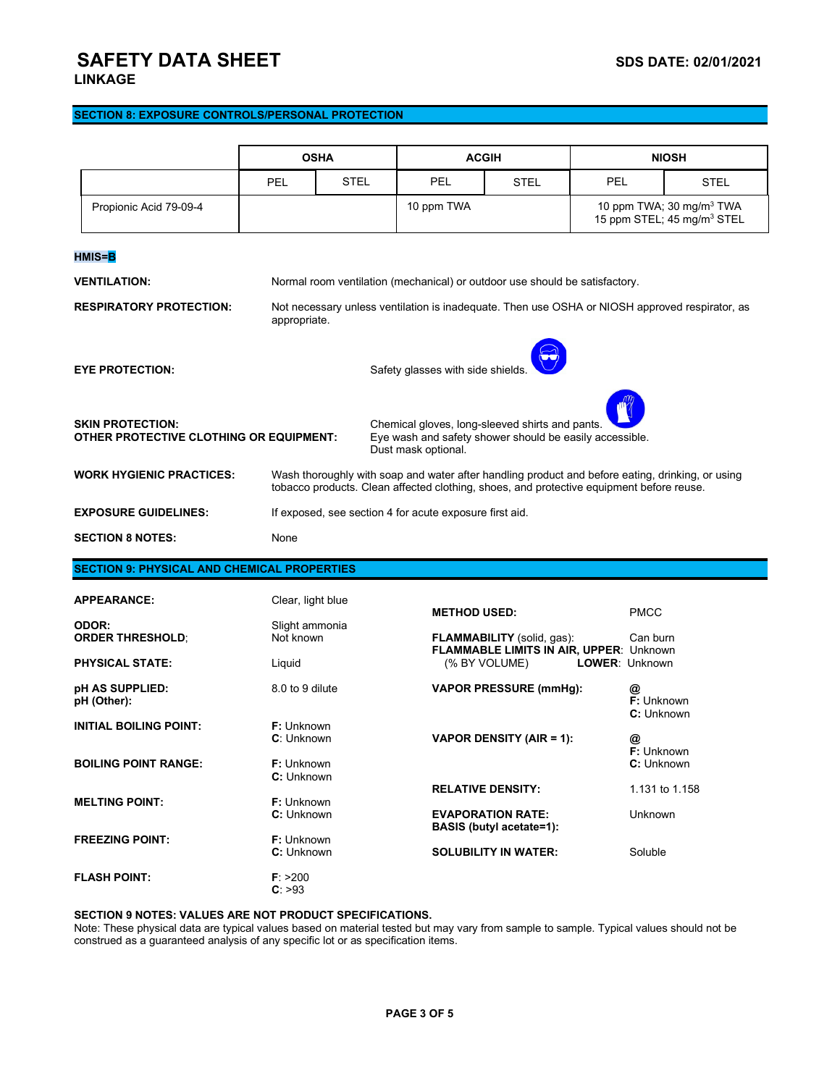# **SAFETY DATA SHEET** SAFETY **SAFETY** DATA SHEET

## **SECTION 8: EXPOSURE CONTROLS/PERSONAL PROTECTION**

|                                                                                                                                                                                                         | <b>OSHA</b>                       |                                                                                                                                                                                              | <b>ACGIH</b>                                                                |                                                                 | <b>NIOSH</b> |                                                                                |  |  |  |
|---------------------------------------------------------------------------------------------------------------------------------------------------------------------------------------------------------|-----------------------------------|----------------------------------------------------------------------------------------------------------------------------------------------------------------------------------------------|-----------------------------------------------------------------------------|-----------------------------------------------------------------|--------------|--------------------------------------------------------------------------------|--|--|--|
|                                                                                                                                                                                                         | <b>PEL</b>                        | <b>STEL</b>                                                                                                                                                                                  | <b>PEL</b>                                                                  | STEL                                                            | <b>PEL</b>   | STEL                                                                           |  |  |  |
| Propionic Acid 79-09-4                                                                                                                                                                                  |                                   |                                                                                                                                                                                              | 10 ppm TWA                                                                  |                                                                 |              | 10 ppm TWA; 30 mg/m <sup>3</sup> TWA<br>15 ppm STEL; 45 mg/m <sup>3</sup> STEL |  |  |  |
| HMIS= <mark>B</mark>                                                                                                                                                                                    |                                   |                                                                                                                                                                                              |                                                                             |                                                                 |              |                                                                                |  |  |  |
| <b>VENTILATION:</b>                                                                                                                                                                                     |                                   |                                                                                                                                                                                              | Normal room ventilation (mechanical) or outdoor use should be satisfactory. |                                                                 |              |                                                                                |  |  |  |
| <b>RESPIRATORY PROTECTION:</b>                                                                                                                                                                          |                                   | Not necessary unless ventilation is inadequate. Then use OSHA or NIOSH approved respirator, as<br>appropriate.                                                                               |                                                                             |                                                                 |              |                                                                                |  |  |  |
| <b>EYE PROTECTION:</b>                                                                                                                                                                                  | Safety glasses with side shields. |                                                                                                                                                                                              |                                                                             |                                                                 |              |                                                                                |  |  |  |
| <b>SKIN PROTECTION:</b><br>Chemical gloves, long-sleeved shirts and pants.<br>Eye wash and safety shower should be easily accessible.<br>OTHER PROTECTIVE CLOTHING OR EQUIPMENT:<br>Dust mask optional. |                                   |                                                                                                                                                                                              |                                                                             |                                                                 |              |                                                                                |  |  |  |
| <b>WORK HYGIENIC PRACTICES:</b>                                                                                                                                                                         |                                   | Wash thoroughly with soap and water after handling product and before eating, drinking, or using<br>tobacco products. Clean affected clothing, shoes, and protective equipment before reuse. |                                                                             |                                                                 |              |                                                                                |  |  |  |
| <b>EXPOSURE GUIDELINES:</b>                                                                                                                                                                             |                                   | If exposed, see section 4 for acute exposure first aid.                                                                                                                                      |                                                                             |                                                                 |              |                                                                                |  |  |  |
| <b>SECTION 8 NOTES:</b>                                                                                                                                                                                 | None                              |                                                                                                                                                                                              |                                                                             |                                                                 |              |                                                                                |  |  |  |
| <b>SECTION 9: PHYSICAL AND CHEMICAL PROPERTIES</b>                                                                                                                                                      |                                   |                                                                                                                                                                                              |                                                                             |                                                                 |              |                                                                                |  |  |  |
| <b>APPEARANCE:</b>                                                                                                                                                                                      | Clear, light blue                 |                                                                                                                                                                                              |                                                                             |                                                                 |              |                                                                                |  |  |  |
| ODOR:<br><b>ORDER THRESHOLD;</b>                                                                                                                                                                        | Slight ammonia<br>Not known       |                                                                                                                                                                                              | <b>METHOD USED:</b><br><b>FLAMMABILITY</b> (solid, gas):                    |                                                                 |              | <b>PMCC</b><br>Can burn                                                        |  |  |  |
| <b>PHYSICAL STATE:</b>                                                                                                                                                                                  | Liquid                            |                                                                                                                                                                                              |                                                                             | <b>FLAMMABLE LIMITS IN AIR, UPPER: Unknown</b><br>(% BY VOLUME) |              | <b>LOWER: Unknown</b>                                                          |  |  |  |
| pH AS SUPPLIED:<br>pH (Other):                                                                                                                                                                          | 8.0 to 9 dilute                   |                                                                                                                                                                                              |                                                                             | <b>VAPOR PRESSURE (mmHg):</b>                                   | @            | F: Unknown<br>C: Unknown                                                       |  |  |  |
| <b>INITIAL BOILING POINT:</b>                                                                                                                                                                           | <b>F:</b> Unknown<br>C: Unknown   |                                                                                                                                                                                              |                                                                             | VAPOR DENSITY (AIR = 1):                                        | @            | F: Unknown                                                                     |  |  |  |
| <b>BOILING POINT RANGE:</b>                                                                                                                                                                             | F: Unknown<br>C: Unknown          |                                                                                                                                                                                              |                                                                             |                                                                 |              | C: Unknown                                                                     |  |  |  |
| <b>MELTING POINT:</b>                                                                                                                                                                                   | F: Unknown                        |                                                                                                                                                                                              |                                                                             | <b>RELATIVE DENSITY:</b>                                        |              | 1.131 to 1.158                                                                 |  |  |  |
|                                                                                                                                                                                                         | C: Unknown                        |                                                                                                                                                                                              |                                                                             | <b>EVAPORATION RATE:</b><br><b>BASIS (butyl acetate=1):</b>     |              | Unknown                                                                        |  |  |  |
| <b>FREEZING POINT:</b>                                                                                                                                                                                  | <b>F:</b> Unknown<br>C: Unknown   |                                                                                                                                                                                              |                                                                             | <b>SOLUBILITY IN WATER:</b>                                     |              | Soluble                                                                        |  |  |  |
| <b>FLASH POINT:</b>                                                                                                                                                                                     | F: > 200<br>C: >93                |                                                                                                                                                                                              |                                                                             |                                                                 |              |                                                                                |  |  |  |

## **SECTION 9 NOTES: VALUES ARE NOT PRODUCT SPECIFICATIONS.**

Note: These physical data are typical values based on material tested but may vary from sample to sample. Typical values should not be construed as a guaranteed analysis of any specific lot or as specification items.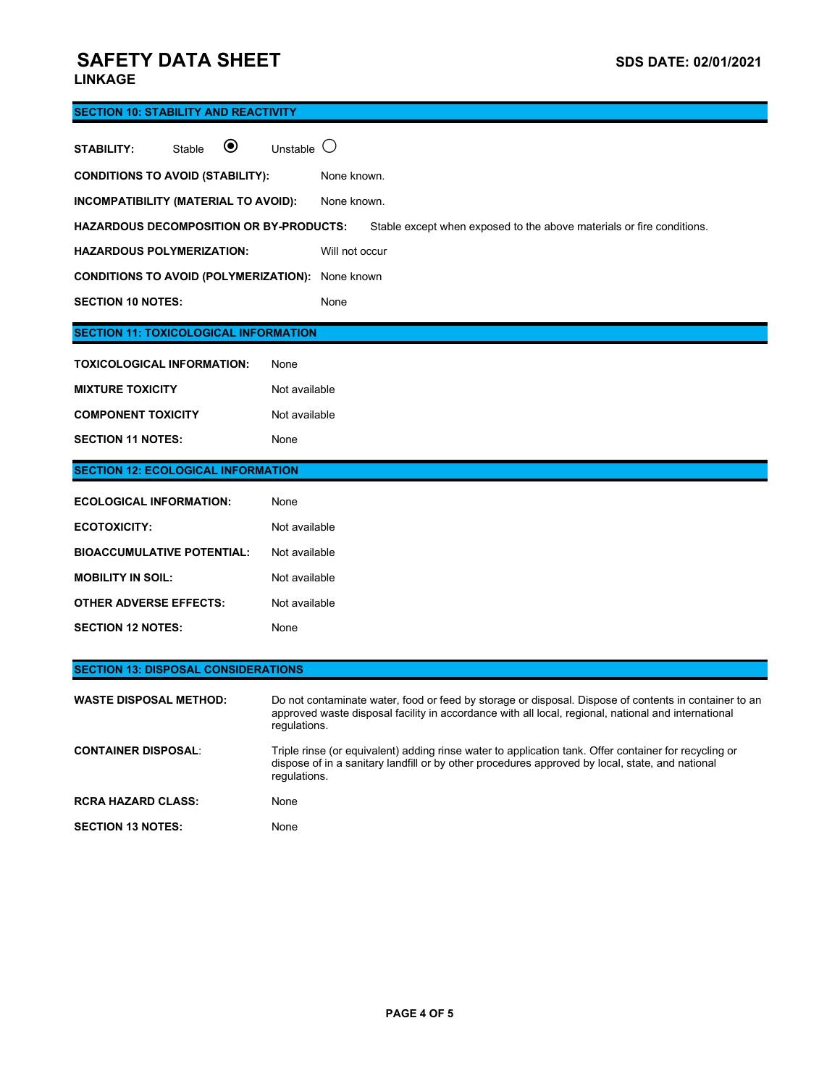# **SAFETY DATA SHEET** SAFETY **SAFETY** DATA SHEET

## **LINKAGE**

| <b>SECTION 10: STABILITY AND REACTIVITY</b>                  |                                                                                                                                                                                                                              |  |  |  |  |
|--------------------------------------------------------------|------------------------------------------------------------------------------------------------------------------------------------------------------------------------------------------------------------------------------|--|--|--|--|
| $\boldsymbol{\circledbullet}$<br><b>STABILITY:</b><br>Stable | ( )<br>Unstable                                                                                                                                                                                                              |  |  |  |  |
| <b>CONDITIONS TO AVOID (STABILITY):</b>                      | None known.                                                                                                                                                                                                                  |  |  |  |  |
| INCOMPATIBILITY (MATERIAL TO AVOID):                         | None known.                                                                                                                                                                                                                  |  |  |  |  |
| <b>HAZARDOUS DECOMPOSITION OR BY-PRODUCTS:</b>               | Stable except when exposed to the above materials or fire conditions.                                                                                                                                                        |  |  |  |  |
| <b>HAZARDOUS POLYMERIZATION:</b>                             | Will not occur                                                                                                                                                                                                               |  |  |  |  |
| <b>CONDITIONS TO AVOID (POLYMERIZATION):</b> None known      |                                                                                                                                                                                                                              |  |  |  |  |
| <b>SECTION 10 NOTES:</b>                                     | None                                                                                                                                                                                                                         |  |  |  |  |
| <b>SECTION 11: TOXICOLOGICAL INFORMATION</b>                 |                                                                                                                                                                                                                              |  |  |  |  |
| <b>TOXICOLOGICAL INFORMATION:</b>                            | None                                                                                                                                                                                                                         |  |  |  |  |
| <b>MIXTURE TOXICITY</b>                                      | Not available                                                                                                                                                                                                                |  |  |  |  |
| <b>COMPONENT TOXICITY</b>                                    | Not available                                                                                                                                                                                                                |  |  |  |  |
| <b>SECTION 11 NOTES:</b>                                     | None                                                                                                                                                                                                                         |  |  |  |  |
| <b>SECTION 12: ECOLOGICAL INFORMATION</b>                    |                                                                                                                                                                                                                              |  |  |  |  |
| <b>ECOLOGICAL INFORMATION:</b>                               | None                                                                                                                                                                                                                         |  |  |  |  |
| <b>ECOTOXICITY:</b>                                          | Not available                                                                                                                                                                                                                |  |  |  |  |
| <b>BIOACCUMULATIVE POTENTIAL:</b>                            | Not available                                                                                                                                                                                                                |  |  |  |  |
| <b>MOBILITY IN SOIL:</b>                                     | Not available                                                                                                                                                                                                                |  |  |  |  |
| <b>OTHER ADVERSE EFFECTS:</b>                                | Not available                                                                                                                                                                                                                |  |  |  |  |
| <b>SECTION 12 NOTES:</b>                                     | None                                                                                                                                                                                                                         |  |  |  |  |
| <b>SECTION 13: DISPOSAL CONSIDERATIONS</b>                   |                                                                                                                                                                                                                              |  |  |  |  |
|                                                              |                                                                                                                                                                                                                              |  |  |  |  |
| <b>WASTE DISPOSAL METHOD:</b>                                | Do not contaminate water, food or feed by storage or disposal. Dispose of contents in container to an<br>approved waste disposal facility in accordance with all local, regional, national and international<br>regulations. |  |  |  |  |
| <b>CONTAINER DISPOSAL:</b>                                   | Triple rinse (or equivalent) adding rinse water to application tank. Offer container for recycling or<br>dispose of in a sanitary landfill or by other procedures approved by local, state, and national<br>regulations.     |  |  |  |  |
| <b>RCRA HAZARD CLASS:</b>                                    | None                                                                                                                                                                                                                         |  |  |  |  |
|                                                              |                                                                                                                                                                                                                              |  |  |  |  |